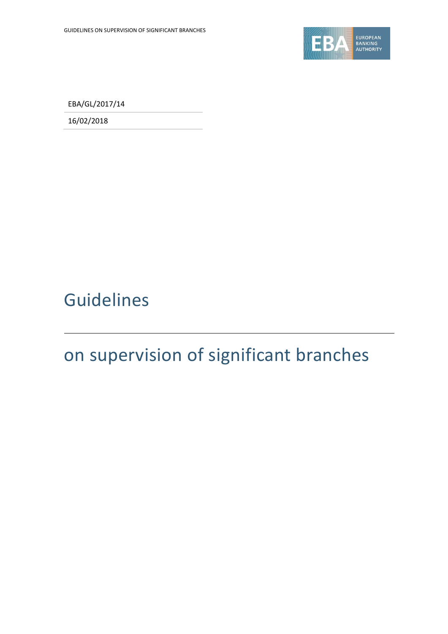

EBA/GL/2017/14

16/02/2018

# Guidelines

# on supervision of significant branches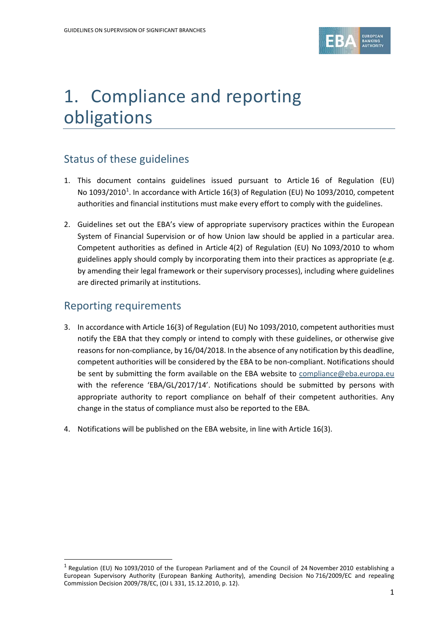

# 1. Compliance and reporting obligations

# Status of these guidelines

- 1. This document contains guidelines issued pursuant to Article 16 of Regulation (EU) No [1](#page-1-0)093/2010<sup>1</sup>. In accordance with Article 16(3) of Regulation (EU) No 1093/2010, competent authorities and financial institutions must make every effort to comply with the guidelines.
- 2. Guidelines set out the EBA's view of appropriate supervisory practices within the European System of Financial Supervision or of how Union law should be applied in a particular area. Competent authorities as defined in Article 4(2) of Regulation (EU) No 1093/2010 to whom guidelines apply should comply by incorporating them into their practices as appropriate (e.g. by amending their legal framework or their supervisory processes), including where guidelines are directed primarily at institutions.

### Reporting requirements

- 3. In accordance with Article 16(3) of Regulation (EU) No 1093/2010, competent authorities must notify the EBA that they comply or intend to comply with these guidelines, or otherwise give reasons for non-compliance, by 16/04/2018. In the absence of any notification by this deadline, competent authorities will be considered by the EBA to be non-compliant. Notifications should be sent by submitting the form available on the EBA website to [compliance@eba.europa.eu](mailto:compliance@eba.europa.eu) with the reference 'EBA/GL/2017/14'. Notifications should be submitted by persons with appropriate authority to report compliance on behalf of their competent authorities. Any change in the status of compliance must also be reported to the EBA.
- 4. Notifications will be published on the EBA website, in line with Article 16(3).

<span id="page-1-0"></span><sup>1</sup> Regulation (EU) No 1093/2010 of the European Parliament and of the Council of 24 November 2010 establishing a European Supervisory Authority (European Banking Authority), amending Decision No 716/2009/EC and repealing Commission Decision 2009/78/EC, (OJ L 331, 15.12.2010, p. 12).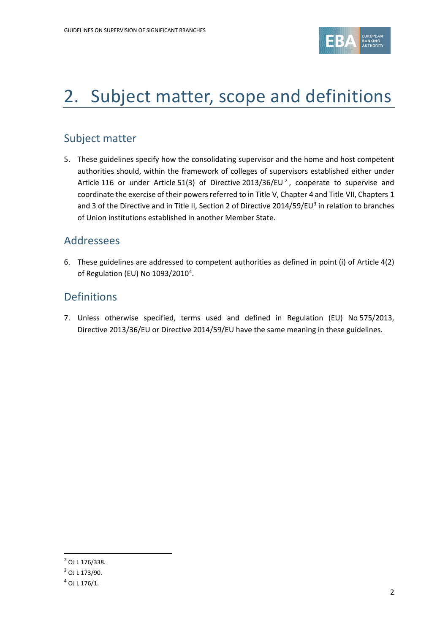

# 2. Subject matter, scope and definitions

### Subject matter

5. These guidelines specify how the consolidating supervisor and the home and host competent authorities should, within the framework of colleges of supervisors established either under Article 116 or under Article 51(3) of Directive [2](#page-2-0)013/36/EU<sup>2</sup>, cooperate to supervise and coordinate the exercise of their powers referred to in Title V, Chapter 4 and Title VII, Chapters 1 and [3](#page-2-1) of the Directive and in Title II, Section 2 of Directive 2014/59/EU<sup>3</sup> in relation to branches of Union institutions established in another Member State.

#### Addressees

6. These guidelines are addressed to competent authorities as defined in point (i) of Article 4(2) of Regulation (EU) No 1093/2010<sup>[4](#page-2-2)</sup>.

### **Definitions**

7. Unless otherwise specified, terms used and defined in Regulation (EU) No 575/2013, Directive 2013/36/EU or Directive 2014/59/EU have the same meaning in these guidelines.

<span id="page-2-0"></span><sup>2</sup> OJ L 176/338.

<span id="page-2-1"></span><sup>3</sup> OJ L 173/90.

<span id="page-2-2"></span> $4$  OJ L 176/1.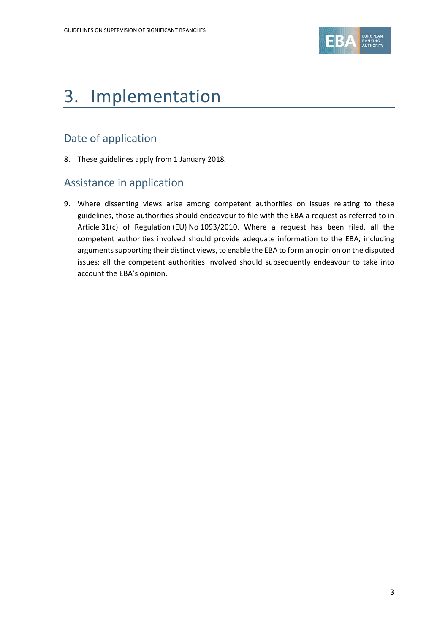

# 3. Implementation

# Date of application

8. These guidelines apply from 1 January 2018*.*

### Assistance in application

9. Where dissenting views arise among competent authorities on issues relating to these guidelines, those authorities should endeavour to file with the EBA a request as referred to in Article 31(c) of Regulation (EU) No 1093/2010. Where a request has been filed, all the competent authorities involved should provide adequate information to the EBA, including arguments supporting their distinct views, to enable the EBA to form an opinion on the disputed issues; all the competent authorities involved should subsequently endeavour to take into account the EBA's opinion.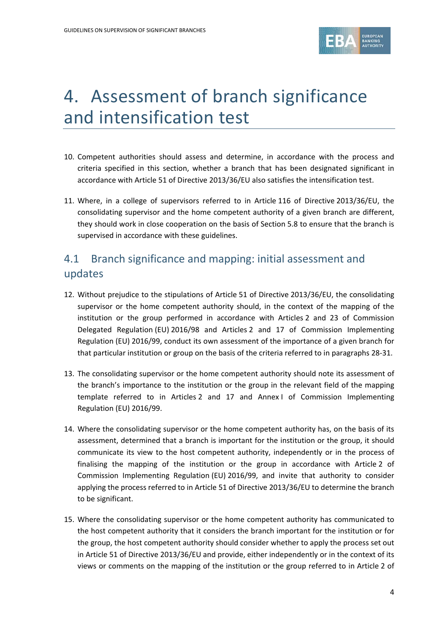

# 4. Assessment of branch significance and intensification test

- 10. Competent authorities should assess and determine, in accordance with the process and criteria specified in this section, whether a branch that has been designated significant in accordance with Article 51 of Directive 2013/36/EU also satisfies the intensification test.
- 11. Where, in a college of supervisors referred to in Article 116 of Directive 2013/36/EU, the consolidating supervisor and the home competent authority of a given branch are different, they should work in close cooperation on the basis of Section 5.8 to ensure that the branch is supervised in accordance with these guidelines.

### 4.1 Branch significance and mapping: initial assessment and updates

- 12. Without prejudice to the stipulations of Article 51 of Directive 2013/36/EU, the consolidating supervisor or the home competent authority should, in the context of the mapping of the institution or the group performed in accordance with Articles 2 and 23 of Commission Delegated Regulation (EU) 2016/98 and Articles 2 and 17 of Commission Implementing Regulation (EU) 2016/99, conduct its own assessment of the importance of a given branch for that particular institution or group on the basis of the criteria referred to in paragraphs 28-31.
- 13. The consolidating supervisor or the home competent authority should note its assessment of the branch's importance to the institution or the group in the relevant field of the mapping template referred to in Articles 2 and 17 and Annex I of Commission Implementing Regulation (EU) 2016/99.
- 14. Where the consolidating supervisor or the home competent authority has, on the basis of its assessment, determined that a branch is important for the institution or the group, it should communicate its view to the host competent authority, independently or in the process of finalising the mapping of the institution or the group in accordance with Article 2 of Commission Implementing Regulation (EU) 2016/99, and invite that authority to consider applying the process referred to in Article 51 of Directive 2013/36/EU to determine the branch to be significant.
- 15. Where the consolidating supervisor or the home competent authority has communicated to the host competent authority that it considers the branch important for the institution or for the group, the host competent authority should consider whether to apply the process set out in Article 51 of Directive 2013/36/EU and provide, either independently or in the context of its views or comments on the mapping of the institution or the group referred to in Article 2 of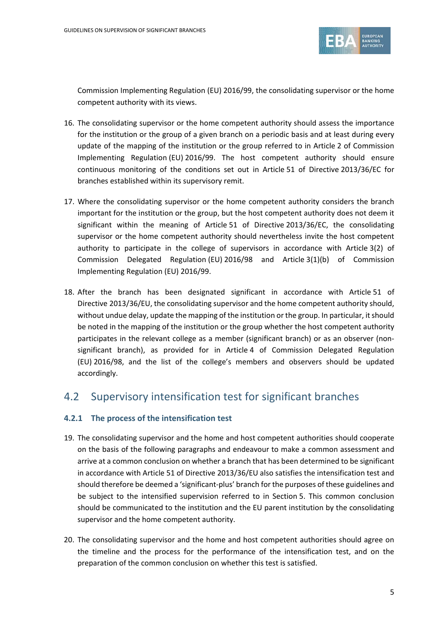

Commission Implementing Regulation (EU) 2016/99, the consolidating supervisor or the home competent authority with its views.

- 16. The consolidating supervisor or the home competent authority should assess the importance for the institution or the group of a given branch on a periodic basis and at least during every update of the mapping of the institution or the group referred to in Article 2 of Commission Implementing Regulation (EU) 2016/99. The host competent authority should ensure continuous monitoring of the conditions set out in Article 51 of Directive 2013/36/EC for branches established within its supervisory remit.
- 17. Where the consolidating supervisor or the home competent authority considers the branch important for the institution or the group, but the host competent authority does not deem it significant within the meaning of Article 51 of Directive 2013/36/EC, the consolidating supervisor or the home competent authority should nevertheless invite the host competent authority to participate in the college of supervisors in accordance with Article 3(2) of Commission Delegated Regulation (EU) 2016/98 and Article 3(1)(b) of Commission Implementing Regulation (EU) 2016/99.
- 18. After the branch has been designated significant in accordance with Article 51 of Directive 2013/36/EU, the consolidating supervisor and the home competent authority should, without undue delay, update the mapping of the institution or the group. In particular, it should be noted in the mapping of the institution or the group whether the host competent authority participates in the relevant college as a member (significant branch) or as an observer (nonsignificant branch), as provided for in Article 4 of Commission Delegated Regulation (EU) 2016/98, and the list of the college's members and observers should be updated accordingly.

#### 4.2 Supervisory intensification test for significant branches

#### **4.2.1 The process of the intensification test**

- 19. The consolidating supervisor and the home and host competent authorities should cooperate on the basis of the following paragraphs and endeavour to make a common assessment and arrive at a common conclusion on whether a branch that has been determined to be significant in accordance with Article 51 of Directive 2013/36/EU also satisfies the intensification test and should therefore be deemed a 'significant-plus' branch for the purposes of these guidelines and be subject to the intensified supervision referred to in Section 5. This common conclusion should be communicated to the institution and the EU parent institution by the consolidating supervisor and the home competent authority.
- 20. The consolidating supervisor and the home and host competent authorities should agree on the timeline and the process for the performance of the intensification test, and on the preparation of the common conclusion on whether this test is satisfied.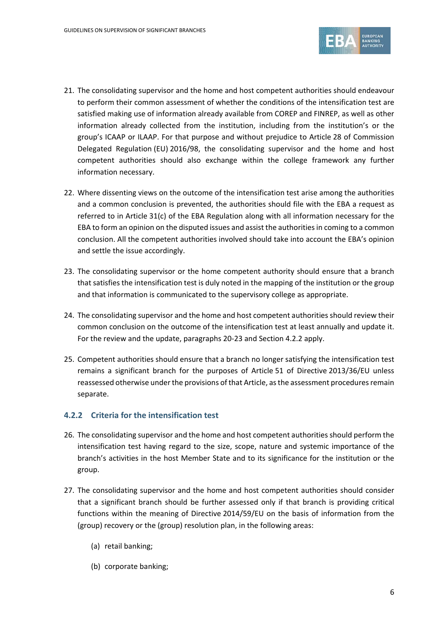

- 21. The consolidating supervisor and the home and host competent authorities should endeavour to perform their common assessment of whether the conditions of the intensification test are satisfied making use of information already available from COREP and FINREP, as well as other information already collected from the institution, including from the institution's or the group's ICAAP or ILAAP. For that purpose and without prejudice to Article 28 of Commission Delegated Regulation (EU) 2016/98, the consolidating supervisor and the home and host competent authorities should also exchange within the college framework any further information necessary.
- 22. Where dissenting views on the outcome of the intensification test arise among the authorities and a common conclusion is prevented, the authorities should file with the EBA a request as referred to in Article 31(c) of the EBA Regulation along with all information necessary for the EBA to form an opinion on the disputed issues and assist the authorities in coming to a common conclusion. All the competent authorities involved should take into account the EBA's opinion and settle the issue accordingly.
- 23. The consolidating supervisor or the home competent authority should ensure that a branch that satisfies the intensification test is duly noted in the mapping of the institution or the group and that information is communicated to the supervisory college as appropriate.
- 24. The consolidating supervisor and the home and host competent authorities should review their common conclusion on the outcome of the intensification test at least annually and update it. For the review and the update, paragraphs 20-23 and Section 4.2.2 apply.
- 25. Competent authorities should ensure that a branch no longer satisfying the intensification test remains a significant branch for the purposes of Article 51 of Directive 2013/36/EU unless reassessed otherwise under the provisions of that Article, as the assessment procedures remain separate.

#### **4.2.2 Criteria for the intensification test**

- 26. The consolidating supervisor and the home and host competent authorities should perform the intensification test having regard to the size, scope, nature and systemic importance of the branch's activities in the host Member State and to its significance for the institution or the group.
- 27. The consolidating supervisor and the home and host competent authorities should consider that a significant branch should be further assessed only if that branch is providing critical functions within the meaning of Directive 2014/59/EU on the basis of information from the (group) recovery or the (group) resolution plan, in the following areas:
	- (a) retail banking;
	- (b) corporate banking;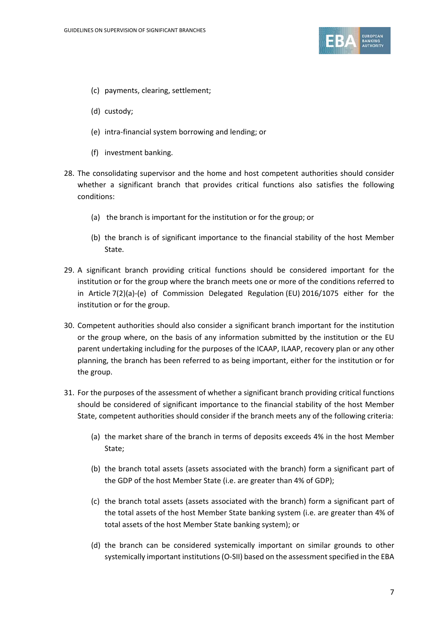

- (c) payments, clearing, settlement;
- (d) custody;
- (e) intra-financial system borrowing and lending; or
- (f) investment banking.
- 28. The consolidating supervisor and the home and host competent authorities should consider whether a significant branch that provides critical functions also satisfies the following conditions:
	- (a) the branch is important for the institution or for the group; or
	- (b) the branch is of significant importance to the financial stability of the host Member State.
- 29. A significant branch providing critical functions should be considered important for the institution or for the group where the branch meets one or more of the conditions referred to in Article 7(2)(a)-(e) of Commission Delegated Regulation (EU) 2016/1075 either for the institution or for the group.
- 30. Competent authorities should also consider a significant branch important for the institution or the group where, on the basis of any information submitted by the institution or the EU parent undertaking including for the purposes of the ICAAP, ILAAP, recovery plan or any other planning, the branch has been referred to as being important, either for the institution or for the group.
- 31. For the purposes of the assessment of whether a significant branch providing critical functions should be considered of significant importance to the financial stability of the host Member State, competent authorities should consider if the branch meets any of the following criteria:
	- (a) the market share of the branch in terms of deposits exceeds 4% in the host Member State;
	- (b) the branch total assets (assets associated with the branch) form a significant part of the GDP of the host Member State (i.e. are greater than 4% of GDP);
	- (c) the branch total assets (assets associated with the branch) form a significant part of the total assets of the host Member State banking system (i.e. are greater than 4% of total assets of the host Member State banking system); or
	- (d) the branch can be considered systemically important on similar grounds to other systemically important institutions(O-SII) based on the assessment specified in the EBA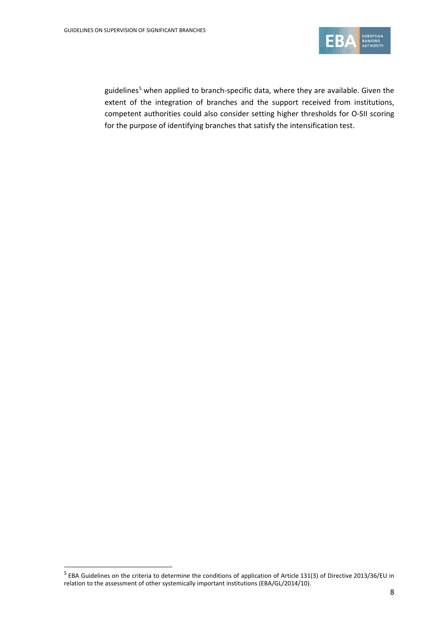

guidelines<sup>[5](#page-8-0)</sup> when applied to branch-specific data, where they are available. Given the extent of the integration of branches and the support received from institutions, competent authorities could also consider setting higher thresholds for O-SII scoring for the purpose of identifying branches that satisfy the intensification test.

<span id="page-8-0"></span><sup>5</sup> EBA Guidelines on the criteria to determine the conditions of application of Article 131(3) of Directive 2013/36/EU in relation to the assessment of other systemically important institutions (EBA/GL/2014/10).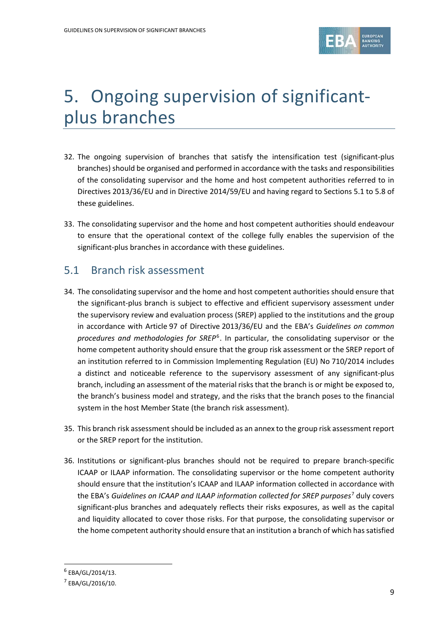

# 5. Ongoing supervision of significantplus branches

- 32. The ongoing supervision of branches that satisfy the intensification test (significant-plus branches) should be organised and performed in accordance with the tasks and responsibilities of the consolidating supervisor and the home and host competent authorities referred to in Directives 2013/36/EU and in Directive 2014/59/EU and having regard to Sections 5.1 to 5.8 of these guidelines.
- 33. The consolidating supervisor and the home and host competent authorities should endeavour to ensure that the operational context of the college fully enables the supervision of the significant-plus branches in accordance with these guidelines.

### 5.1 Branch risk assessment

- 34. The consolidating supervisor and the home and host competent authorities should ensure that the significant-plus branch is subject to effective and efficient supervisory assessment under the supervisory review and evaluation process (SREP) applied to the institutions and the group in accordance with Article 97 of Directive 2013/36/EU and the EBA's *Guidelines on common procedures and methodologies for SREP*[6](#page-9-0). In particular, the consolidating supervisor or the home competent authority should ensure that the group risk assessment or the SREP report of an institution referred to in Commission Implementing Regulation (EU) No 710/2014 includes a distinct and noticeable reference to the supervisory assessment of any significant-plus branch, including an assessment of the material risks that the branch is or might be exposed to, the branch's business model and strategy, and the risks that the branch poses to the financial system in the host Member State (the branch risk assessment).
- 35. This branch risk assessment should be included as an annex to the group risk assessment report or the SREP report for the institution.
- 36. Institutions or significant-plus branches should not be required to prepare branch-specific ICAAP or ILAAP information. The consolidating supervisor or the home competent authority should ensure that the institution's ICAAP and ILAAP information collected in accordance with the EBA's *Guidelines on ICAAP and ILAAP information collected for SREP purposes*[7](#page-9-1) duly covers significant-plus branches and adequately reflects their risks exposures, as well as the capital and liquidity allocated to cover those risks. For that purpose, the consolidating supervisor or the home competent authority should ensure that an institution a branch of which has satisfied

<span id="page-9-0"></span> $6$  EBA/GL/2014/13.

<span id="page-9-1"></span><sup>7</sup> EBA/GL/2016/10.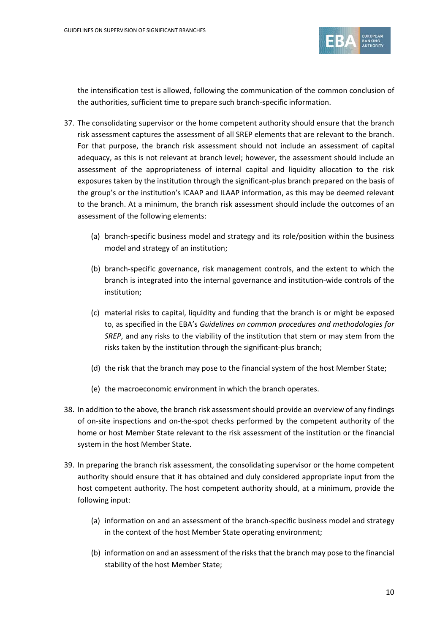

the intensification test is allowed, following the communication of the common conclusion of the authorities, sufficient time to prepare such branch-specific information.

- 37. The consolidating supervisor or the home competent authority should ensure that the branch risk assessment captures the assessment of all SREP elements that are relevant to the branch. For that purpose, the branch risk assessment should not include an assessment of capital adequacy, as this is not relevant at branch level; however, the assessment should include an assessment of the appropriateness of internal capital and liquidity allocation to the risk exposures taken by the institution through the significant-plus branch prepared on the basis of the group's or the institution's ICAAP and ILAAP information, as this may be deemed relevant to the branch. At a minimum, the branch risk assessment should include the outcomes of an assessment of the following elements:
	- (a) branch-specific business model and strategy and its role/position within the business model and strategy of an institution;
	- (b) branch-specific governance, risk management controls, and the extent to which the branch is integrated into the internal governance and institution-wide controls of the institution;
	- (c) material risks to capital, liquidity and funding that the branch is or might be exposed to, as specified in the EBA's *Guidelines on common procedures and methodologies for SREP*, and any risks to the viability of the institution that stem or may stem from the risks taken by the institution through the significant-plus branch;
	- (d) the risk that the branch may pose to the financial system of the host Member State;
	- (e) the macroeconomic environment in which the branch operates.
- 38. In addition to the above, the branch risk assessment should provide an overview of any findings of on-site inspections and on-the-spot checks performed by the competent authority of the home or host Member State relevant to the risk assessment of the institution or the financial system in the host Member State.
- 39. In preparing the branch risk assessment, the consolidating supervisor or the home competent authority should ensure that it has obtained and duly considered appropriate input from the host competent authority. The host competent authority should, at a minimum, provide the following input:
	- (a) information on and an assessment of the branch-specific business model and strategy in the context of the host Member State operating environment;
	- (b) information on and an assessment of the risks that the branch may pose to the financial stability of the host Member State;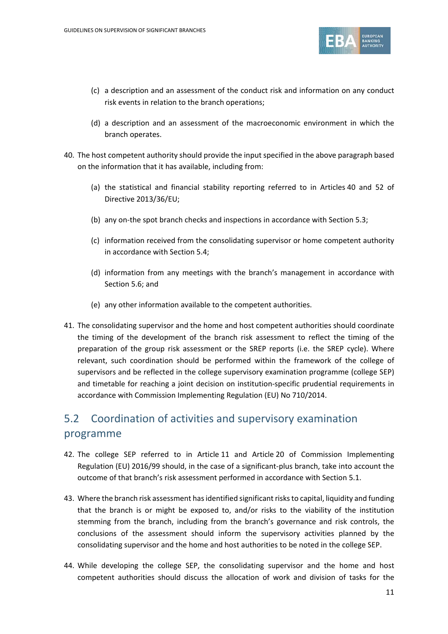

- (c) a description and an assessment of the conduct risk and information on any conduct risk events in relation to the branch operations;
- (d) a description and an assessment of the macroeconomic environment in which the branch operates.
- 40. The host competent authority should provide the input specified in the above paragraph based on the information that it has available, including from:
	- (a) the statistical and financial stability reporting referred to in Articles 40 and 52 of Directive 2013/36/EU;
	- (b) any on-the spot branch checks and inspections in accordance with Section 5.3;
	- (c) information received from the consolidating supervisor or home competent authority in accordance with Section 5.4;
	- (d) information from any meetings with the branch's management in accordance with Section 5.6; and
	- (e) any other information available to the competent authorities.
- 41. The consolidating supervisor and the home and host competent authorities should coordinate the timing of the development of the branch risk assessment to reflect the timing of the preparation of the group risk assessment or the SREP reports (i.e. the SREP cycle). Where relevant, such coordination should be performed within the framework of the college of supervisors and be reflected in the college supervisory examination programme (college SEP) and timetable for reaching a joint decision on institution-specific prudential requirements in accordance with Commission Implementing Regulation (EU) No 710/2014.

# 5.2 Coordination of activities and supervisory examination programme

- 42. The college SEP referred to in Article 11 and Article 20 of Commission Implementing Regulation (EU) 2016/99 should, in the case of a significant-plus branch, take into account the outcome of that branch's risk assessment performed in accordance with Section 5.1.
- 43. Where the branch risk assessment has identified significant risks to capital, liquidity and funding that the branch is or might be exposed to, and/or risks to the viability of the institution stemming from the branch, including from the branch's governance and risk controls, the conclusions of the assessment should inform the supervisory activities planned by the consolidating supervisor and the home and host authorities to be noted in the college SEP.
- 44. While developing the college SEP, the consolidating supervisor and the home and host competent authorities should discuss the allocation of work and division of tasks for the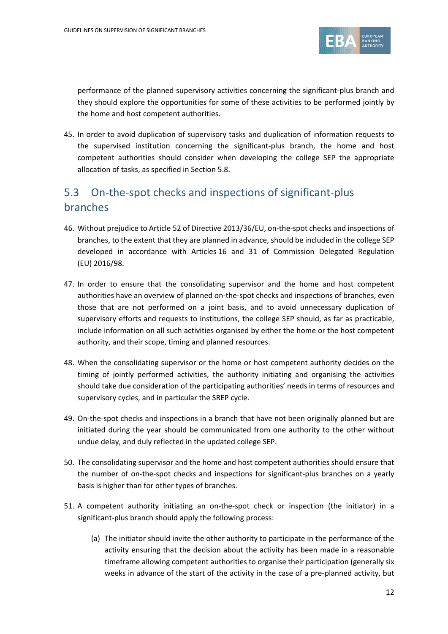

performance of the planned supervisory activities concerning the significant-plus branch and they should explore the opportunities for some of these activities to be performed jointly by the home and host competent authorities.

45. In order to avoid duplication of supervisory tasks and duplication of information requests to the supervised institution concerning the significant-plus branch, the home and host competent authorities should consider when developing the college SEP the appropriate allocation of tasks, as specified in Section 5.8.

# 5.3 On-the-spot checks and inspections of significant-plus branches

- 46. Without prejudice to Article 52 of Directive 2013/36/EU, on-the-spot checks and inspections of branches, to the extent that they are planned in advance, should be included in the college SEP developed in accordance with Articles 16 and 31 of Commission Delegated Regulation (EU) 2016/98.
- 47. In order to ensure that the consolidating supervisor and the home and host competent authorities have an overview of planned on-the-spot checks and inspections of branches, even those that are not performed on a joint basis, and to avoid unnecessary duplication of supervisory efforts and requests to institutions, the college SEP should, as far as practicable, include information on all such activities organised by either the home or the host competent authority, and their scope, timing and planned resources.
- 48. When the consolidating supervisor or the home or host competent authority decides on the timing of jointly performed activities, the authority initiating and organising the activities should take due consideration of the participating authorities' needs in terms of resources and supervisory cycles, and in particular the SREP cycle.
- 49. On-the-spot checks and inspections in a branch that have not been originally planned but are initiated during the year should be communicated from one authority to the other without undue delay, and duly reflected in the updated college SEP.
- 50. The consolidating supervisor and the home and host competent authorities should ensure that the number of on-the-spot checks and inspections for significant-plus branches on a yearly basis is higher than for other types of branches.
- 51. A competent authority initiating an on-the-spot check or inspection (the initiator) in a significant-plus branch should apply the following process:
	- (a) The initiator should invite the other authority to participate in the performance of the activity ensuring that the decision about the activity has been made in a reasonable timeframe allowing competent authorities to organise their participation (generally six weeks in advance of the start of the activity in the case of a pre-planned activity, but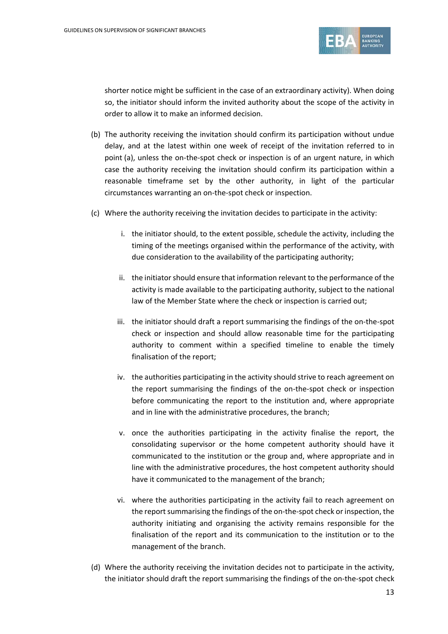

shorter notice might be sufficient in the case of an extraordinary activity). When doing so, the initiator should inform the invited authority about the scope of the activity in order to allow it to make an informed decision.

- (b) The authority receiving the invitation should confirm its participation without undue delay, and at the latest within one week of receipt of the invitation referred to in point (a), unless the on-the-spot check or inspection is of an urgent nature, in which case the authority receiving the invitation should confirm its participation within a reasonable timeframe set by the other authority, in light of the particular circumstances warranting an on-the-spot check or inspection.
- (c) Where the authority receiving the invitation decides to participate in the activity:
	- i. the initiator should, to the extent possible, schedule the activity, including the timing of the meetings organised within the performance of the activity, with due consideration to the availability of the participating authority;
	- ii. the initiator should ensure that information relevant to the performance of the activity is made available to the participating authority, subject to the national law of the Member State where the check or inspection is carried out;
	- iii. the initiator should draft a report summarising the findings of the on-the-spot check or inspection and should allow reasonable time for the participating authority to comment within a specified timeline to enable the timely finalisation of the report;
	- iv. the authorities participating in the activity should strive to reach agreement on the report summarising the findings of the on-the-spot check or inspection before communicating the report to the institution and, where appropriate and in line with the administrative procedures, the branch;
	- v. once the authorities participating in the activity finalise the report, the consolidating supervisor or the home competent authority should have it communicated to the institution or the group and, where appropriate and in line with the administrative procedures, the host competent authority should have it communicated to the management of the branch;
	- vi. where the authorities participating in the activity fail to reach agreement on the report summarising the findings of the on-the-spot check or inspection, the authority initiating and organising the activity remains responsible for the finalisation of the report and its communication to the institution or to the management of the branch.
- (d) Where the authority receiving the invitation decides not to participate in the activity, the initiator should draft the report summarising the findings of the on-the-spot check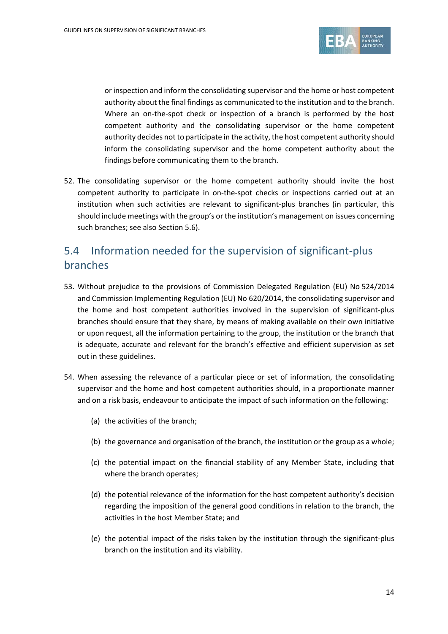

or inspection and inform the consolidating supervisor and the home or host competent authority about the final findings as communicated to the institution and to the branch. Where an on-the-spot check or inspection of a branch is performed by the host competent authority and the consolidating supervisor or the home competent authority decides not to participate in the activity, the host competent authority should inform the consolidating supervisor and the home competent authority about the findings before communicating them to the branch.

52. The consolidating supervisor or the home competent authority should invite the host competent authority to participate in on-the-spot checks or inspections carried out at an institution when such activities are relevant to significant-plus branches (in particular, this should include meetings with the group's or the institution's management on issues concerning such branches; see also Section 5.6).

# 5.4 Information needed for the supervision of significant-plus branches

- 53. Without prejudice to the provisions of Commission Delegated Regulation (EU) No 524/2014 and Commission Implementing Regulation (EU) No 620/2014, the consolidating supervisor and the home and host competent authorities involved in the supervision of significant-plus branches should ensure that they share, by means of making available on their own initiative or upon request, all the information pertaining to the group, the institution or the branch that is adequate, accurate and relevant for the branch's effective and efficient supervision as set out in these guidelines.
- 54. When assessing the relevance of a particular piece or set of information, the consolidating supervisor and the home and host competent authorities should, in a proportionate manner and on a risk basis, endeavour to anticipate the impact of such information on the following:
	- (a) the activities of the branch;
	- (b) the governance and organisation of the branch, the institution or the group as a whole;
	- (c) the potential impact on the financial stability of any Member State, including that where the branch operates;
	- (d) the potential relevance of the information for the host competent authority's decision regarding the imposition of the general good conditions in relation to the branch, the activities in the host Member State; and
	- (e) the potential impact of the risks taken by the institution through the significant-plus branch on the institution and its viability.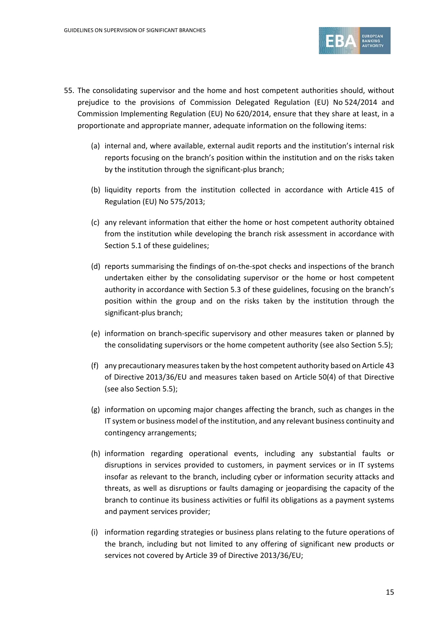

- 55. The consolidating supervisor and the home and host competent authorities should, without prejudice to the provisions of Commission Delegated Regulation (EU) No 524/2014 and Commission Implementing Regulation (EU) No 620/2014, ensure that they share at least, in a proportionate and appropriate manner, adequate information on the following items:
	- (a) internal and, where available, external audit reports and the institution's internal risk reports focusing on the branch's position within the institution and on the risks taken by the institution through the significant-plus branch;
	- (b) liquidity reports from the institution collected in accordance with Article 415 of Regulation (EU) No 575/2013;
	- (c) any relevant information that either the home or host competent authority obtained from the institution while developing the branch risk assessment in accordance with Section 5.1 of these guidelines;
	- (d) reports summarising the findings of on-the-spot checks and inspections of the branch undertaken either by the consolidating supervisor or the home or host competent authority in accordance with Section 5.3 of these guidelines, focusing on the branch's position within the group and on the risks taken by the institution through the significant-plus branch;
	- (e) information on branch-specific supervisory and other measures taken or planned by the consolidating supervisors or the home competent authority (see also Section 5.5);
	- (f) any precautionary measures taken by the host competent authority based on Article 43 of Directive 2013/36/EU and measures taken based on Article 50(4) of that Directive (see also Section 5.5);
	- (g) information on upcoming major changes affecting the branch, such as changes in the IT system or business model of the institution, and any relevant business continuity and contingency arrangements;
	- (h) information regarding operational events, including any substantial faults or disruptions in services provided to customers, in payment services or in IT systems insofar as relevant to the branch, including cyber or information security attacks and threats, as well as disruptions or faults damaging or jeopardising the capacity of the branch to continue its business activities or fulfil its obligations as a payment systems and payment services provider;
	- (i) information regarding strategies or business plans relating to the future operations of the branch, including but not limited to any offering of significant new products or services not covered by Article 39 of Directive 2013/36/EU;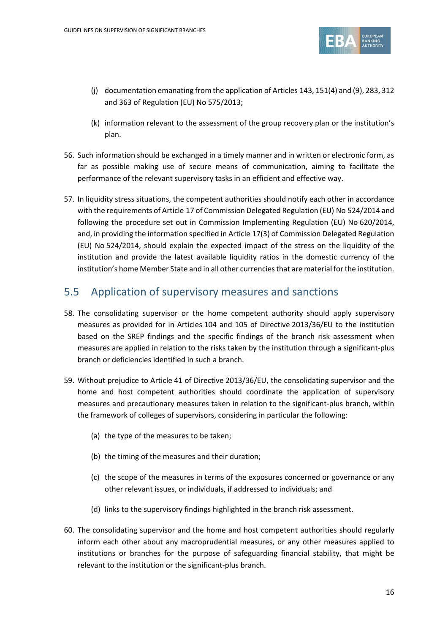

- (j) documentation emanating from the application of Articles 143, 151(4) and (9), 283, 312 and 363 of Regulation (EU) No 575/2013;
- (k) information relevant to the assessment of the group recovery plan or the institution's plan.
- 56. Such information should be exchanged in a timely manner and in written or electronic form, as far as possible making use of secure means of communication, aiming to facilitate the performance of the relevant supervisory tasks in an efficient and effective way.
- 57. In liquidity stress situations, the competent authorities should notify each other in accordance with the requirements of Article 17 of Commission Delegated Regulation (EU) No 524/2014 and following the procedure set out in Commission Implementing Regulation (EU) No 620/2014, and, in providing the information specified in Article 17(3) of Commission Delegated Regulation (EU) No 524/2014, should explain the expected impact of the stress on the liquidity of the institution and provide the latest available liquidity ratios in the domestic currency of the institution's home Member State and in all other currencies that are material for the institution.

#### 5.5 Application of supervisory measures and sanctions

- 58. The consolidating supervisor or the home competent authority should apply supervisory measures as provided for in Articles 104 and 105 of Directive 2013/36/EU to the institution based on the SREP findings and the specific findings of the branch risk assessment when measures are applied in relation to the risks taken by the institution through a significant-plus branch or deficiencies identified in such a branch.
- 59. Without prejudice to Article 41 of Directive 2013/36/EU, the consolidating supervisor and the home and host competent authorities should coordinate the application of supervisory measures and precautionary measures taken in relation to the significant-plus branch, within the framework of colleges of supervisors, considering in particular the following:
	- (a) the type of the measures to be taken;
	- (b) the timing of the measures and their duration;
	- (c) the scope of the measures in terms of the exposures concerned or governance or any other relevant issues, or individuals, if addressed to individuals; and
	- (d) links to the supervisory findings highlighted in the branch risk assessment.
- 60. The consolidating supervisor and the home and host competent authorities should regularly inform each other about any macroprudential measures, or any other measures applied to institutions or branches for the purpose of safeguarding financial stability, that might be relevant to the institution or the significant-plus branch.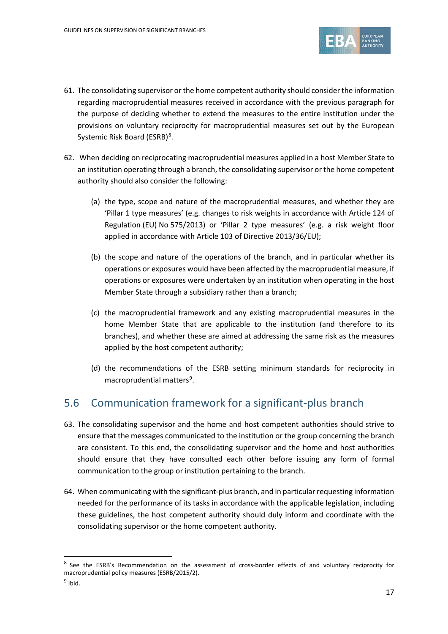

- 61. The consolidating supervisor or the home competent authority should consider the information regarding macroprudential measures received in accordance with the previous paragraph for the purpose of deciding whether to extend the measures to the entire institution under the provisions on voluntary reciprocity for macroprudential measures set out by the European Systemic Risk Board (ESRB)<sup>[8](#page-17-0)</sup>.
- 62. When deciding on reciprocating macroprudential measures applied in a host Member State to an institution operating through a branch, the consolidating supervisor or the home competent authority should also consider the following:
	- (a) the type, scope and nature of the macroprudential measures, and whether they are 'Pillar 1 type measures' (e.g. changes to risk weights in accordance with Article 124 of Regulation (EU) No 575/2013) or 'Pillar 2 type measures' (e.g. a risk weight floor applied in accordance with Article 103 of Directive 2013/36/EU);
	- (b) the scope and nature of the operations of the branch, and in particular whether its operations or exposures would have been affected by the macroprudential measure, if operations or exposures were undertaken by an institution when operating in the host Member State through a subsidiary rather than a branch;
	- (c) the macroprudential framework and any existing macroprudential measures in the home Member State that are applicable to the institution (and therefore to its branches), and whether these are aimed at addressing the same risk as the measures applied by the host competent authority;
	- (d) the recommendations of the ESRB setting minimum standards for reciprocity in macroprudential matters<sup>[9](#page-17-1)</sup>.

# 5.6 Communication framework for a significant-plus branch

- 63. The consolidating supervisor and the home and host competent authorities should strive to ensure that the messages communicated to the institution or the group concerning the branch are consistent. To this end, the consolidating supervisor and the home and host authorities should ensure that they have consulted each other before issuing any form of formal communication to the group or institution pertaining to the branch.
- 64. When communicating with the significant-plus branch, and in particular requesting information needed for the performance of its tasks in accordance with the applicable legislation, including these guidelines, the host competent authority should duly inform and coordinate with the consolidating supervisor or the home competent authority.

<span id="page-17-0"></span><sup>&</sup>lt;sup>8</sup> See the ESRB's Recommendation on the assessment of cross-border effects of and voluntary reciprocity for macroprudential policy measures (ESRB/2015/2).

<span id="page-17-1"></span> $9$  Ibid.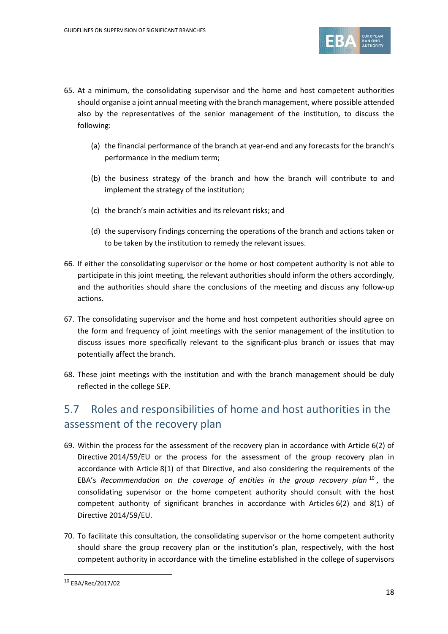

- 65. At a minimum, the consolidating supervisor and the home and host competent authorities should organise a joint annual meeting with the branch management, where possible attended also by the representatives of the senior management of the institution, to discuss the following:
	- (a) the financial performance of the branch at year-end and any forecasts for the branch's performance in the medium term;
	- (b) the business strategy of the branch and how the branch will contribute to and implement the strategy of the institution;
	- (c) the branch's main activities and its relevant risks; and
	- (d) the supervisory findings concerning the operations of the branch and actions taken or to be taken by the institution to remedy the relevant issues.
- 66. If either the consolidating supervisor or the home or host competent authority is not able to participate in this joint meeting, the relevant authorities should inform the others accordingly, and the authorities should share the conclusions of the meeting and discuss any follow-up actions.
- 67. The consolidating supervisor and the home and host competent authorities should agree on the form and frequency of joint meetings with the senior management of the institution to discuss issues more specifically relevant to the significant-plus branch or issues that may potentially affect the branch.
- 68. These joint meetings with the institution and with the branch management should be duly reflected in the college SEP.

# 5.7 Roles and responsibilities of home and host authorities in the assessment of the recovery plan

- 69. Within the process for the assessment of the recovery plan in accordance with Article 6(2) of Directive 2014/59/EU or the process for the assessment of the group recovery plan in accordance with Article 8(1) of that Directive, and also considering the requirements of the EBA's *Recommendation on the coverage of entities in the group recovery plan* [10](#page-18-0) , the consolidating supervisor or the home competent authority should consult with the host competent authority of significant branches in accordance with Articles 6(2) and 8(1) of Directive 2014/59/EU.
- 70. To facilitate this consultation, the consolidating supervisor or the home competent authority should share the group recovery plan or the institution's plan, respectively, with the host competent authority in accordance with the timeline established in the college of supervisors

<span id="page-18-0"></span><sup>10</sup> EBA/Rec/2017/02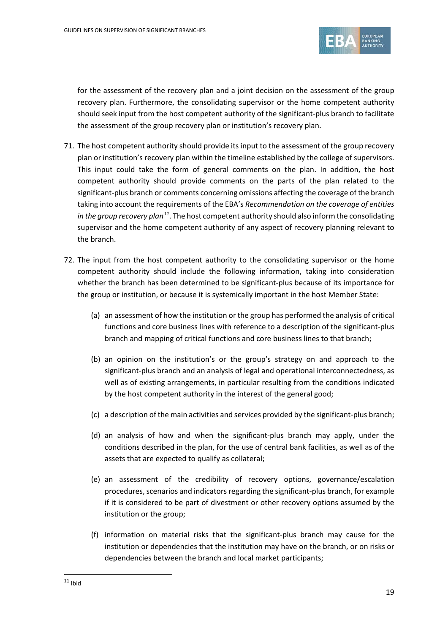

for the assessment of the recovery plan and a joint decision on the assessment of the group recovery plan. Furthermore, the consolidating supervisor or the home competent authority should seek input from the host competent authority of the significant-plus branch to facilitate the assessment of the group recovery plan or institution's recovery plan.

- 71. The host competent authority should provide its input to the assessment of the group recovery plan or institution's recovery plan within the timeline established by the college of supervisors. This input could take the form of general comments on the plan. In addition, the host competent authority should provide comments on the parts of the plan related to the significant-plus branch or comments concerning omissions affecting the coverage of the branch taking into account the requirements of the EBA's *Recommendation on the coverage of entities in the group recovery plan[11](#page-19-0)*. The host competent authority should also inform the consolidating supervisor and the home competent authority of any aspect of recovery planning relevant to the branch.
- <span id="page-19-0"></span>72. The input from the host competent authority to the consolidating supervisor or the home competent authority should include the following information, taking into consideration whether the branch has been determined to be significant-plus because of its importance for the group or institution, or because it is systemically important in the host Member State:
	- (a) an assessment of how the institution or the group has performed the analysis of critical functions and core business lines with reference to a description of the significant-plus branch and mapping of critical functions and core business lines to that branch;
	- (b) an opinion on the institution's or the group's strategy on and approach to the significant-plus branch and an analysis of legal and operational interconnectedness, as well as of existing arrangements, in particular resulting from the conditions indicated by the host competent authority in the interest of the general good;
	- (c) a description of the main activities and services provided by the significant-plus branch;
	- (d) an analysis of how and when the significant-plus branch may apply, under the conditions described in the plan, for the use of central bank facilities, as well as of the assets that are expected to qualify as collateral;
	- (e) an assessment of the credibility of recovery options, governance/escalation procedures, scenarios and indicators regarding the significant-plus branch, for example if it is considered to be part of divestment or other recovery options assumed by the institution or the group;
	- (f) information on material risks that the significant-plus branch may cause for the institution or dependencies that the institution may have on the branch, or on risks or dependencies between the branch and local market participants;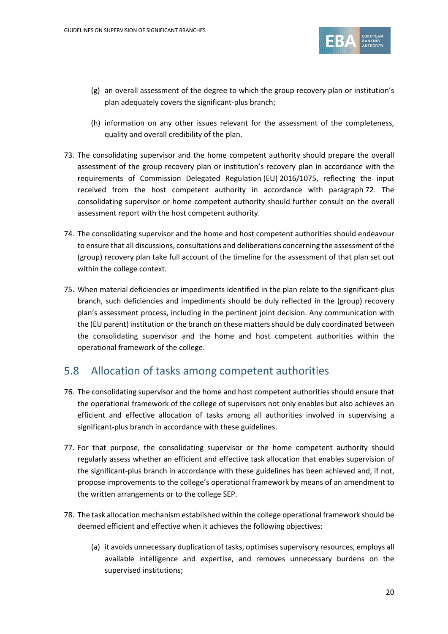

- (g) an overall assessment of the degree to which the group recovery plan or institution's plan adequately covers the significant-plus branch;
- (h) information on any other issues relevant for the assessment of the completeness, quality and overall credibility of the plan.
- 73. The consolidating supervisor and the home competent authority should prepare the overall assessment of the group recovery plan or institution's recovery plan in accordance with the requirements of Commission Delegated Regulation (EU) 2016/1075, reflecting the input received from the host competent authority in accordance with paragraph 72. The consolidating supervisor or home competent authority should further consult on the overall assessment report with the host competent authority.
- 74. The consolidating supervisor and the home and host competent authorities should endeavour to ensure that all discussions, consultations and deliberations concerning the assessment of the (group) recovery plan take full account of the timeline for the assessment of that plan set out within the college context.
- 75. When material deficiencies or impediments identified in the plan relate to the significant-plus branch, such deficiencies and impediments should be duly reflected in the (group) recovery plan's assessment process, including in the pertinent joint decision. Any communication with the (EU parent) institution or the branch on these matters should be duly coordinated between the consolidating supervisor and the home and host competent authorities within the operational framework of the college.

### 5.8 Allocation of tasks among competent authorities

- 76. The consolidating supervisor and the home and host competent authorities should ensure that the operational framework of the college of supervisors not only enables but also achieves an efficient and effective allocation of tasks among all authorities involved in supervising a significant-plus branch in accordance with these guidelines.
- 77. For that purpose, the consolidating supervisor or the home competent authority should regularly assess whether an efficient and effective task allocation that enables supervision of the significant-plus branch in accordance with these guidelines has been achieved and, if not, propose improvements to the college's operational framework by means of an amendment to the written arrangements or to the college SEP.
- 78. The task allocation mechanism established within the college operational framework should be deemed efficient and effective when it achieves the following objectives:
	- (a) it avoids unnecessary duplication of tasks, optimises supervisory resources, employs all available intelligence and expertise, and removes unnecessary burdens on the supervised institutions;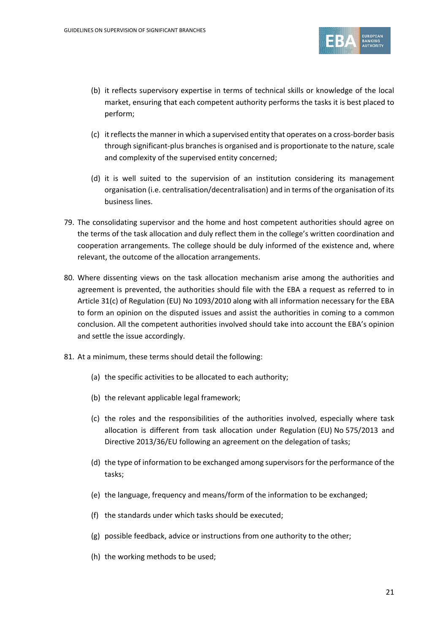

- (b) it reflects supervisory expertise in terms of technical skills or knowledge of the local market, ensuring that each competent authority performs the tasks it is best placed to perform;
- (c) it reflectsthe manner in which a supervised entity that operates on a cross-border basis through significant-plus branches is organised and is proportionate to the nature, scale and complexity of the supervised entity concerned;
- (d) it is well suited to the supervision of an institution considering its management organisation (i.e. centralisation/decentralisation) and in terms of the organisation of its business lines.
- 79. The consolidating supervisor and the home and host competent authorities should agree on the terms of the task allocation and duly reflect them in the college's written coordination and cooperation arrangements. The college should be duly informed of the existence and, where relevant, the outcome of the allocation arrangements.
- 80. Where dissenting views on the task allocation mechanism arise among the authorities and agreement is prevented, the authorities should file with the EBA a request as referred to in Article 31(c) of Regulation (EU) No 1093/2010 along with all information necessary for the EBA to form an opinion on the disputed issues and assist the authorities in coming to a common conclusion. All the competent authorities involved should take into account the EBA's opinion and settle the issue accordingly.
- 81. At a minimum, these terms should detail the following:
	- (a) the specific activities to be allocated to each authority;
	- (b) the relevant applicable legal framework;
	- (c) the roles and the responsibilities of the authorities involved, especially where task allocation is different from task allocation under Regulation (EU) No 575/2013 and Directive 2013/36/EU following an agreement on the delegation of tasks;
	- (d) the type of information to be exchanged among supervisors for the performance of the tasks;
	- (e) the language, frequency and means/form of the information to be exchanged;
	- (f) the standards under which tasks should be executed;
	- (g) possible feedback, advice or instructions from one authority to the other;
	- (h) the working methods to be used;